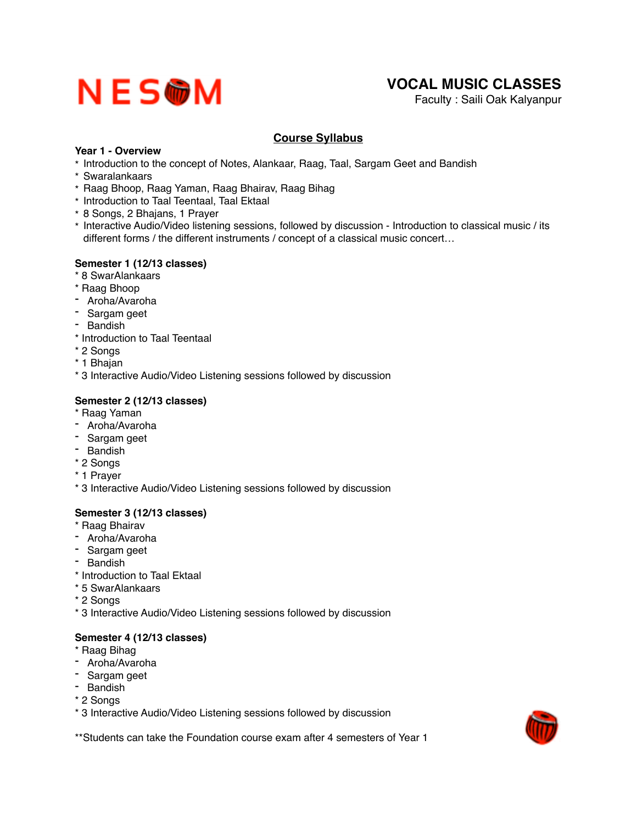# NESWM

# **VOCAL MUSIC CLASSES**

Faculty : Saili Oak Kalyanpur

## **Course Syllabus**

### **Year 1 - Overview**

- \* Introduction to the concept of Notes, Alankaar, Raag, Taal, Sargam Geet and Bandish
- \* Swaralankaars
- \* Raag Bhoop, Raag Yaman, Raag Bhairav, Raag Bihag
- \* Introduction to Taal Teentaal, Taal Ektaal
- \* 8 Songs, 2 Bhajans, 1 Prayer
- \* Interactive Audio/Video listening sessions, followed by discussion Introduction to classical music / its different forms / the different instruments / concept of a classical music concert…

#### **Semester 1 (12/13 classes)**

- \* 8 SwarAlankaars
- \* Raag Bhoop
- Aroha/Avaroha
- Sargam geet
- Bandish
- \* Introduction to Taal Teentaal
- \* 2 Songs
- \* 1 Bhajan
- \* 3 Interactive Audio/Video Listening sessions followed by discussion

### **Semester 2 (12/13 classes)**

- \* Raag Yaman
- Aroha/Avaroha
- Sargam geet
- Bandish
- \* 2 Songs
- \* 1 Prayer
- \* 3 Interactive Audio/Video Listening sessions followed by discussion

### **Semester 3 (12/13 classes)**

- \* Raag Bhairav
- Aroha/Avaroha
- Sargam geet
- Bandish
- \* Introduction to Taal Ektaal
- \* 5 SwarAlankaars
- \* 2 Songs
- \* 3 Interactive Audio/Video Listening sessions followed by discussion

### **Semester 4 (12/13 classes)**

- \* Raag Bihag
- Aroha/Avaroha
- Sargam geet
- Bandish
- \* 2 Songs
- \* 3 Interactive Audio/Video Listening sessions followed by discussion

\*\*Students can take the Foundation course exam after 4 semesters of Year 1